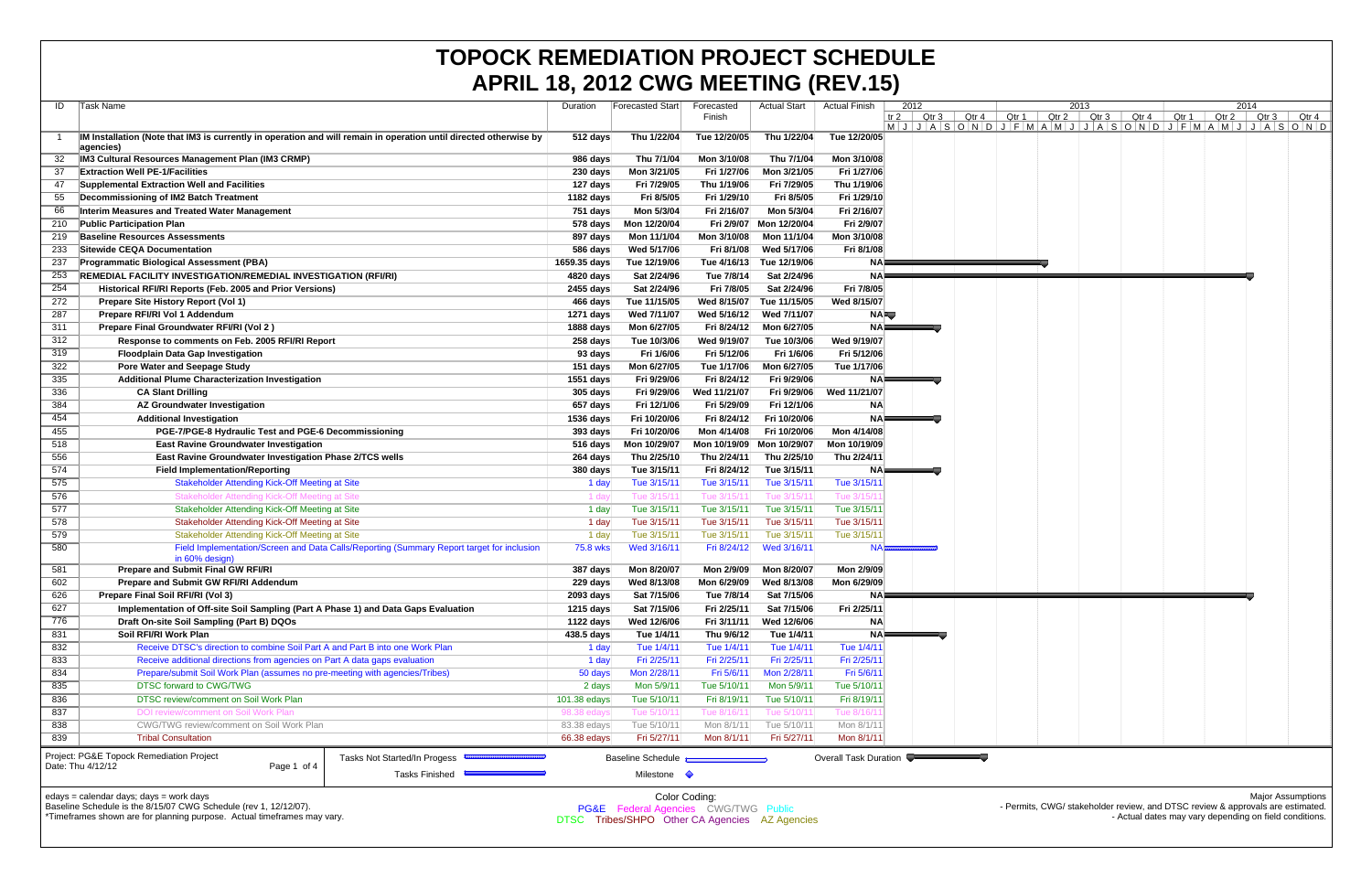|                                                                                                                         | <b>APRIL 18, 2012 CWG MEETING (REV.15)</b>                                                                                                  |                    |                                                |              |                     |                       |                     |               |                   |      |                                                                                                                                          |       |       |       |                          |
|-------------------------------------------------------------------------------------------------------------------------|---------------------------------------------------------------------------------------------------------------------------------------------|--------------------|------------------------------------------------|--------------|---------------------|-----------------------|---------------------|---------------|-------------------|------|------------------------------------------------------------------------------------------------------------------------------------------|-------|-------|-------|--------------------------|
| ID                                                                                                                      | Task Name                                                                                                                                   | Duration           | <b>Forecasted Start</b>                        | Forecasted   | <b>Actual Start</b> | <b>Actual Finish</b>  | 2012                |               |                   | 2013 |                                                                                                                                          |       | 2014  |       |                          |
|                                                                                                                         |                                                                                                                                             |                    |                                                | Finish       |                     |                       | $Qtr 3$  <br>$tr 2$ | Qtr 4 $\vert$ | Qtr 1 Qtr 2 Qtr 3 |      | Qtr 4<br>$M$  J A S O N D J F M A M J J A S O N D J F M A M J J A S O N D                                                                | Qtr 1 | Qtr 2 | Qtr 3 | Qtr 4                    |
|                                                                                                                         | IM Installation (Note that IM3 is currently in operation and will remain in operation until directed otherwise by                           | $512$ days         | Thu 1/22/04                                    | Tue 12/20/05 | Thu 1/22/04         | Tue 12/20/05          |                     |               |                   |      |                                                                                                                                          |       |       |       |                          |
|                                                                                                                         | agencies)                                                                                                                                   |                    |                                                |              |                     |                       |                     |               |                   |      |                                                                                                                                          |       |       |       |                          |
|                                                                                                                         | <b>IM3 Cultural Resources Management Plan (IM3 CRMP)</b>                                                                                    | 986 days           | Thu 7/1/04                                     | Mon 3/10/08  | Thu 7/1/04          | Mon 3/10/08           |                     |               |                   |      |                                                                                                                                          |       |       |       |                          |
| 37                                                                                                                      | <b>Extraction Well PE-1/Facilities</b>                                                                                                      | 230 days           | Mon 3/21/05                                    | Fri 1/27/06  | Mon 3/21/05         | Fri 1/27/06           |                     |               |                   |      |                                                                                                                                          |       |       |       |                          |
| 47                                                                                                                      | Supplemental Extraction Well and Facilities                                                                                                 | 127 days           | Fri 7/29/05                                    | Thu 1/19/06  | Fri 7/29/05         | Thu 1/19/06           |                     |               |                   |      |                                                                                                                                          |       |       |       |                          |
| 55                                                                                                                      | Decommissioning of IM2 Batch Treatment                                                                                                      | 1182 days          | Fri 8/5/05                                     | Fri 1/29/10  | Fri 8/5/05          | Fri 1/29/10           |                     |               |                   |      |                                                                                                                                          |       |       |       |                          |
| 66                                                                                                                      | Interim Measures and Treated Water Management                                                                                               | 751 days           | Mon 5/3/04                                     | Fri 2/16/07  | Mon 5/3/04          | Fri 2/16/07           |                     |               |                   |      |                                                                                                                                          |       |       |       |                          |
| 210                                                                                                                     | <b>Public Participation Plan</b>                                                                                                            | 578 days           | Mon 12/20/04                                   | Fri 2/9/07   | Mon 12/20/04        | Fri 2/9/07            |                     |               |                   |      |                                                                                                                                          |       |       |       |                          |
| 219                                                                                                                     | <b>Baseline Resources Assessments</b>                                                                                                       | 897 days           | Mon 11/1/04                                    | Mon 3/10/08  | Mon 11/1/04         | Mon 3/10/08           |                     |               |                   |      |                                                                                                                                          |       |       |       |                          |
| 233                                                                                                                     | Sitewide CEQA Documentation                                                                                                                 | 586 days           | Wed 5/17/06                                    | Fri 8/1/08   | Wed 5/17/06         | Fri 8/1/08            |                     |               |                   |      |                                                                                                                                          |       |       |       |                          |
| 237                                                                                                                     | <b>Programmatic Biological Assessment (PBA)</b>                                                                                             | 1659.35 days       | Tue 12/19/06                                   | Tue 4/16/13  | Tue 12/19/06        | NA⊫                   |                     |               |                   |      |                                                                                                                                          |       |       |       |                          |
| 253                                                                                                                     | REMEDIAL FACILITY INVESTIGATION/REMEDIAL INVESTIGATION (RFI/RI)                                                                             | 4820 days          | Sat 2/24/96                                    | Tue 7/8/14   | Sat 2/24/96         | NA⊧                   |                     |               |                   |      |                                                                                                                                          |       |       |       |                          |
| 254                                                                                                                     | Historical RFI/RI Reports (Feb. 2005 and Prior Versions)                                                                                    | 2455 days          | Sat 2/24/96                                    | Fri 7/8/05   | Sat 2/24/96         | Fri 7/8/05            |                     |               |                   |      |                                                                                                                                          |       |       |       |                          |
| 272                                                                                                                     | Prepare Site History Report (Vol 1)                                                                                                         | 466 days           | Tue 11/15/05                                   | Wed 8/15/07  | Tue 11/15/05        | Wed 8/15/07           |                     |               |                   |      |                                                                                                                                          |       |       |       |                          |
| 287                                                                                                                     | Prepare RFI/RI Vol 1 Addendum                                                                                                               | 1271 days          | Wed 7/11/07                                    | Wed 5/16/12  | Wed 7/11/07         | <b>NAFU</b>           |                     |               |                   |      |                                                                                                                                          |       |       |       |                          |
| 311                                                                                                                     | Prepare Final Groundwater RFI/RI (Vol 2)                                                                                                    | 1888 days          | Mon 6/27/05                                    | Fri 8/24/12  | Mon 6/27/05         | $NA =$                |                     |               |                   |      |                                                                                                                                          |       |       |       |                          |
| 312                                                                                                                     | Response to comments on Feb. 2005 RFI/RI Report                                                                                             | 258 days           | Tue 10/3/06                                    | Wed 9/19/07  | Tue 10/3/06         | Wed 9/19/07           |                     |               |                   |      |                                                                                                                                          |       |       |       |                          |
| 319                                                                                                                     | <b>Floodplain Data Gap Investigation</b>                                                                                                    | 93 days            | Fri 1/6/06                                     | Fri 5/12/06  | Fri 1/6/06          | Fri 5/12/06           |                     |               |                   |      |                                                                                                                                          |       |       |       |                          |
| 322                                                                                                                     | <b>Pore Water and Seepage Study</b>                                                                                                         | 151 days           | Mon 6/27/05                                    | Tue 1/17/06  | Mon 6/27/05         | Tue 1/17/06           |                     |               |                   |      |                                                                                                                                          |       |       |       |                          |
| 335                                                                                                                     | <b>Additional Plume Characterization Investigation</b>                                                                                      | 1551 days          | Fri 9/29/06                                    | Fri 8/24/12  | Fri 9/29/06         | NA⊧                   |                     |               |                   |      |                                                                                                                                          |       |       |       |                          |
| 336                                                                                                                     | <b>CA Slant Drilling</b>                                                                                                                    | 305 days           | Fri 9/29/06                                    | Wed 11/21/07 | Fri 9/29/06         | Wed 11/21/07          |                     |               |                   |      |                                                                                                                                          |       |       |       |                          |
| 384                                                                                                                     | AZ Groundwater Investigation                                                                                                                | 657 days           | Fri 12/1/06                                    | Fri 5/29/09  | Fri 12/1/06         | <b>NA</b>             |                     |               |                   |      |                                                                                                                                          |       |       |       |                          |
| 454                                                                                                                     | <b>Additional Investigation</b>                                                                                                             | 1536 days          | Fri 10/20/06                                   | Fri 8/24/12  | Fri 10/20/06        | NAF                   |                     |               |                   |      |                                                                                                                                          |       |       |       |                          |
| 455                                                                                                                     | PGE-7/PGE-8 Hydraulic Test and PGE-6 Decommissioning                                                                                        | 393 days           | Fri 10/20/06                                   | Mon 4/14/08  | Fri 10/20/06        | Mon 4/14/08           |                     |               |                   |      |                                                                                                                                          |       |       |       |                          |
| 518                                                                                                                     | <b>East Ravine Groundwater Investigation</b>                                                                                                | $516 \text{ days}$ | Mon 10/29/07                                   | Mon 10/19/09 | Mon 10/29/07        | Mon 10/19/09          |                     |               |                   |      |                                                                                                                                          |       |       |       |                          |
| 556                                                                                                                     | East Ravine Groundwater Investigation Phase 2/TCS wells                                                                                     | 264 days           | Thu 2/25/10                                    | Thu 2/24/11  | Thu 2/25/10         | Thu 2/24/11           |                     |               |                   |      |                                                                                                                                          |       |       |       |                          |
| 574                                                                                                                     | <b>Field Implementation/Reporting</b>                                                                                                       | 380 days           | Tue 3/15/11                                    | Fri 8/24/12  | Tue 3/15/11         | NA⊫                   |                     |               |                   |      |                                                                                                                                          |       |       |       |                          |
| 575                                                                                                                     | <b>Stakeholder Attending Kick-Off Meeting at Site</b>                                                                                       | 1 day              | Tue 3/15/11                                    | Tue 3/15/11  | Tue 3/15/11         | Tue 3/15/11           |                     |               |                   |      |                                                                                                                                          |       |       |       |                          |
| 576                                                                                                                     | Stakeholder Attending Kick-Off Meeting at Site                                                                                              | 1 da               | Tue 3/15/1                                     | Tue 3/15/1   | Tue 3/15/1          | Tue 3/15/             |                     |               |                   |      |                                                                                                                                          |       |       |       |                          |
| 577                                                                                                                     | Stakeholder Attending Kick-Off Meeting at Site                                                                                              | 1 day              | Tue 3/15/11                                    | Tue 3/15/11  | Tue 3/15/11         | Tue 3/15/11           |                     |               |                   |      |                                                                                                                                          |       |       |       |                          |
| 578                                                                                                                     | Stakeholder Attending Kick-Off Meeting at Site                                                                                              | 1 day              | Tue 3/15/11                                    | Tue 3/15/11  | Tue 3/15/11         | Tue 3/15/11           |                     |               |                   |      |                                                                                                                                          |       |       |       |                          |
| 579                                                                                                                     | Stakeholder Attending Kick-Off Meeting at Site                                                                                              | 1 day              | Tue 3/15/11                                    | Tue 3/15/11  | Tue 3/15/11         | Tue 3/15/11           |                     |               |                   |      |                                                                                                                                          |       |       |       |                          |
| 580                                                                                                                     | Field Implementation/Screen and Data Calls/Reporting (Summary Report target for inclusion                                                   | 75.8 wks           | Wed 3/16/11                                    | Fri 8/24/12  | Wed 3/16/11         | <b>NAB</b>            |                     |               |                   |      |                                                                                                                                          |       |       |       |                          |
|                                                                                                                         | in 60% design                                                                                                                               |                    |                                                |              |                     |                       |                     |               |                   |      |                                                                                                                                          |       |       |       |                          |
| 581                                                                                                                     | <b>Prepare and Submit Final GW RFI/RI</b>                                                                                                   | 387 days           | Mon 8/20/07                                    | Mon 2/9/09   | Mon 8/20/07         | Mon 2/9/09            |                     |               |                   |      |                                                                                                                                          |       |       |       |                          |
| 602                                                                                                                     | Prepare and Submit GW RFI/RI Addendum                                                                                                       | 229 days           | Wed 8/13/08                                    | Mon 6/29/09  | Wed 8/13/08         | Mon 6/29/09           |                     |               |                   |      |                                                                                                                                          |       |       |       |                          |
| 626                                                                                                                     | Prepare Final Soil RFI/RI (Vol 3)                                                                                                           | 2093 days          | Sat 7/15/06                                    | Tue 7/8/14   | Sat 7/15/06         | NA⊫                   |                     |               |                   |      |                                                                                                                                          |       |       |       |                          |
| 627                                                                                                                     | Implementation of Off-site Soil Sampling (Part A Phase 1) and Data Gaps Evaluation                                                          | 1215 days          | Sat 7/15/06                                    | Fri 2/25/11  | Sat 7/15/06         | Fri 2/25/11           |                     |               |                   |      |                                                                                                                                          |       |       |       |                          |
| 776                                                                                                                     | Draft On-site Soil Sampling (Part B) DQOs                                                                                                   | 1122 days          | Wed 12/6/06                                    | Fri 3/11/11  | Wed 12/6/06         | <b>NA</b>             |                     |               |                   |      |                                                                                                                                          |       |       |       |                          |
| 831                                                                                                                     | Soil RFI/RI Work Plan                                                                                                                       | 438.5 days         | Tue 1/4/11                                     | Thu 9/6/12   | Tue 1/4/11          | $NA \equiv$           |                     |               |                   |      |                                                                                                                                          |       |       |       |                          |
| 832                                                                                                                     | Receive DTSC's direction to combine Soil Part A and Part B into one Work Plan                                                               | 1 day              | Tue 1/4/11                                     | Tue 1/4/11   | Tue 1/4/11          | Tue 1/4/11            |                     |               |                   |      |                                                                                                                                          |       |       |       |                          |
| 833                                                                                                                     | Receive additional directions from agencies on Part A data gaps evaluation                                                                  | 1 day              | Fri 2/25/11                                    | Fri 2/25/11  | Fri 2/25/11         | Fri 2/25/11           |                     |               |                   |      |                                                                                                                                          |       |       |       |                          |
| 834                                                                                                                     | Prepare/submit Soil Work Plan (assumes no pre-meeting with agencies/Tribes)                                                                 | 50 days            | Mon 2/28/11                                    | Fri 5/6/11   | Mon 2/28/11         | Fri 5/6/11            |                     |               |                   |      |                                                                                                                                          |       |       |       |                          |
| 835                                                                                                                     | <b>DTSC forward to CWG/TWG</b>                                                                                                              | 2 days             | Mon 5/9/11                                     | Tue 5/10/11  | Mon 5/9/11          | Tue 5/10/11           |                     |               |                   |      |                                                                                                                                          |       |       |       |                          |
| 836                                                                                                                     | DTSC review/comment on Soil Work Plan                                                                                                       | 101.38 edays       | Tue 5/10/11                                    | Fri 8/19/11  | Tue 5/10/11         | Fri 8/19/11           |                     |               |                   |      |                                                                                                                                          |       |       |       |                          |
| 837                                                                                                                     | DOI review/comment on Soil Work Plan                                                                                                        | 98.38 eday         | Tue 5/10/1                                     | Tue 8/16/1   | Tue 5/10/1          | Tue 8/16/ $^{\circ}$  |                     |               |                   |      |                                                                                                                                          |       |       |       |                          |
| 838                                                                                                                     | CWG/TWG review/comment on Soil Work Plan                                                                                                    | 83.38 edays        | Tue 5/10/11                                    | Mon 8/1/11   | Tue 5/10/11         | Mon 8/1/11            |                     |               |                   |      |                                                                                                                                          |       |       |       |                          |
| 839                                                                                                                     | <b>Tribal Consultation</b>                                                                                                                  | 66.38 edays        | Fri 5/27/11                                    | Mon 8/1/11   | Fri 5/27/11         | Mon 8/1/11            |                     |               |                   |      |                                                                                                                                          |       |       |       |                          |
|                                                                                                                         |                                                                                                                                             |                    |                                                |              |                     |                       |                     |               |                   |      |                                                                                                                                          |       |       |       |                          |
| <b>Project: PG&amp;E Topock Remediation Project</b><br>Tasks Not Started/In Progess<br>Page 1 of 4<br>Date: Thu 4/12/12 |                                                                                                                                             |                    | <b>Baseline Schedule</b>                       |              |                     | Overall Task Duration |                     |               |                   |      |                                                                                                                                          |       |       |       |                          |
|                                                                                                                         | Tasks Finished                                                                                                                              |                    | Milestone $\Diamond$                           |              |                     |                       |                     |               |                   |      |                                                                                                                                          |       |       |       |                          |
|                                                                                                                         |                                                                                                                                             |                    |                                                |              |                     |                       |                     |               |                   |      |                                                                                                                                          |       |       |       |                          |
|                                                                                                                         | edays = calendar days; days = work days                                                                                                     |                    | Color Coding:                                  |              |                     |                       |                     |               |                   |      |                                                                                                                                          |       |       |       | <b>Major Assumptions</b> |
|                                                                                                                         | Baseline Schedule is the 8/15/07 CWG Schedule (rev 1, 12/12/07).<br>*Timeframes shown are for planning purpose. Actual timeframes may vary. |                    | PG&E Federal Agencies CWG/TWG Public           |              |                     |                       |                     |               |                   |      | - Permits, CWG/ stakeholder review, and DTSC review & approvals are estimated.<br>- Actual dates may vary depending on field conditions. |       |       |       |                          |
|                                                                                                                         |                                                                                                                                             |                    | DTSC Tribes/SHPO Other CA Agencies AZ Agencies |              |                     |                       |                     |               |                   |      |                                                                                                                                          |       |       |       |                          |

## **TOPOCK REMEDIATION PROJECT SCHEDULE APRIL 18, 2012 CWG MEETING (REV.15)**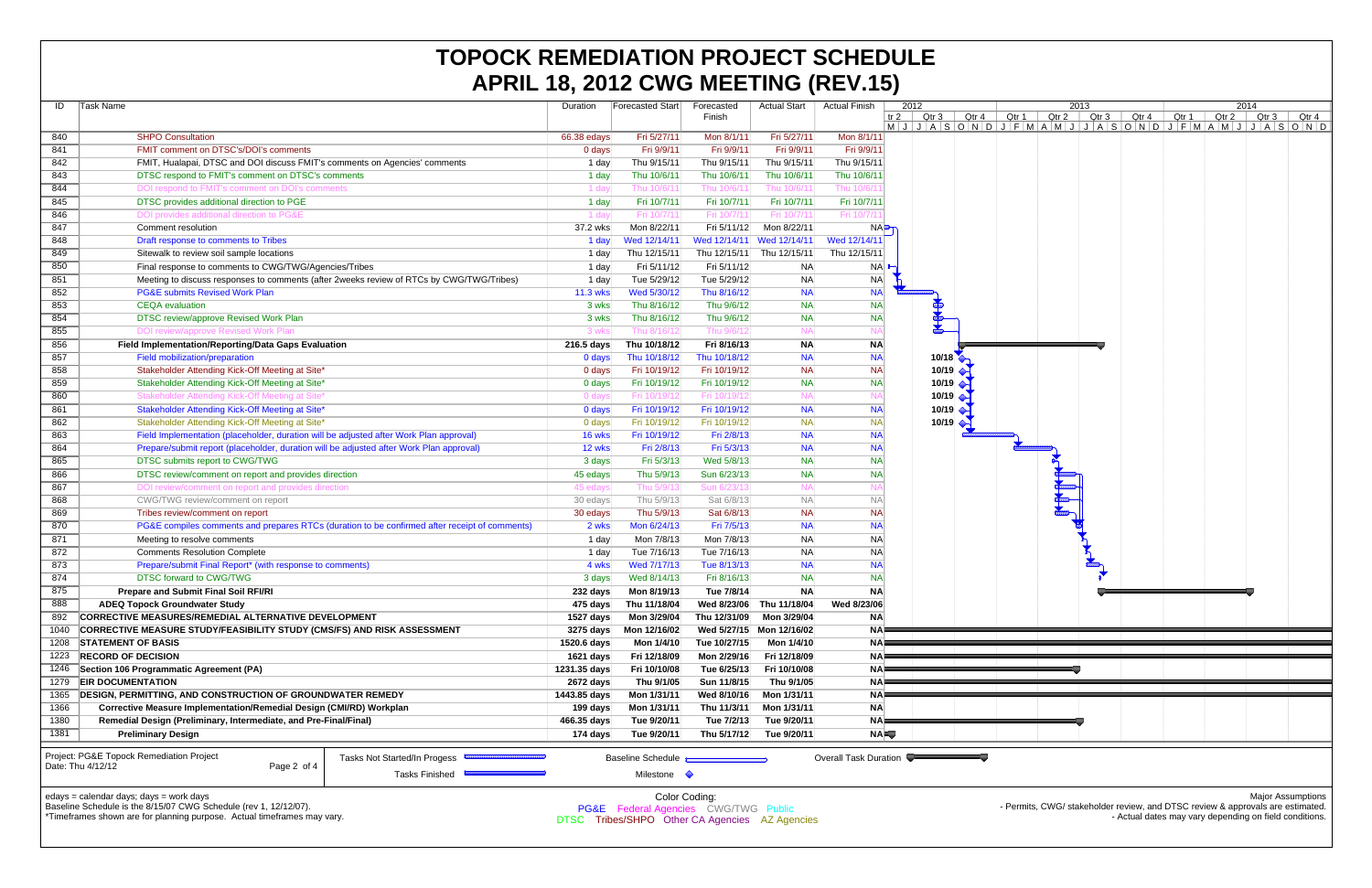|                                                                             | <b>APRIL 18, 2012 CWG MEETING (REV.15)</b>                                                                  |                           |                                                 |               |                           |                       |            |       |                           |       |       |       |       |                                                                                                                                 |       |       |                          |  |
|-----------------------------------------------------------------------------|-------------------------------------------------------------------------------------------------------------|---------------------------|-------------------------------------------------|---------------|---------------------------|-----------------------|------------|-------|---------------------------|-------|-------|-------|-------|---------------------------------------------------------------------------------------------------------------------------------|-------|-------|--------------------------|--|
| ID                                                                          | Task Name                                                                                                   | Duration                  | Forecasted Start                                | Forecasted    | <b>Actual Start</b>       | <b>Actual Finish</b>  |            | 2012  |                           | 2013  |       |       |       | 2014                                                                                                                            |       |       |                          |  |
|                                                                             |                                                                                                             |                           |                                                 | Finish        |                           |                       | tr $2$     | Qtr 3 | Qtr 4                     | Qtr 1 | Qtr 2 | Qtr 3 | Qtr 4 | Qtr <sub>1</sub>                                                                                                                | Qtr 2 | Qtr 3 | Qtr 4                    |  |
|                                                                             |                                                                                                             |                           |                                                 |               |                           |                       |            |       |                           |       |       |       |       | $M   J   J   A   S   O   N   O   J   F   M   A   M   J   J   A   S   O   N   D   J   F   M   A   M   J   J   A   S   O   N   D$ |       |       |                          |  |
| 840                                                                         | <b>SHPO Consultation</b>                                                                                    | 66.38 edays               | Fri 5/27/11                                     | Mon 8/1/11    | Fri 5/27/11               | Mon 8/1/11            |            |       |                           |       |       |       |       |                                                                                                                                 |       |       |                          |  |
| 841                                                                         | <b>FMIT comment on DTSC's/DOI's comments</b>                                                                | 0 days                    | Fri 9/9/11                                      | Fri 9/9/11    | Fri 9/9/11                | Fri 9/9/11            |            |       |                           |       |       |       |       |                                                                                                                                 |       |       |                          |  |
| 842                                                                         | FMIT, Hualapai, DTSC and DOI discuss FMIT's comments on Agencies' comments                                  | 1 day                     | Thu 9/15/11                                     | Thu 9/15/11   | Thu 9/15/11               | Thu 9/15/11           |            |       |                           |       |       |       |       |                                                                                                                                 |       |       |                          |  |
| 843                                                                         | DTSC respond to FMIT's comment on DTSC's comments                                                           | 1 day                     | Thu 10/6/11                                     | Thu 10/6/11   | Thu 10/6/11               | Thu 10/6/11           |            |       |                           |       |       |       |       |                                                                                                                                 |       |       |                          |  |
| 844                                                                         | DOI respond to FMIT's comment on DOI's comments                                                             | $1$ day                   | Thu 10/6/1                                      | Thu 10/6/1    | Thu 10/6/11               | Thu 10/6/1            |            |       |                           |       |       |       |       |                                                                                                                                 |       |       |                          |  |
| 845                                                                         | DTSC provides additional direction to PGE                                                                   | 1 day                     | Fri 10/7/11                                     | Fri 10/7/11   | Fri 10/7/11               | Fri 10/7/11           |            |       |                           |       |       |       |       |                                                                                                                                 |       |       |                          |  |
| 846                                                                         | DOI provides additional direction to PG&E                                                                   | 1 day                     | Fri 10/7/1                                      | Fri 10/7/1    | Fri 10/7/11               | Fri 10/7/1            |            |       |                           |       |       |       |       |                                                                                                                                 |       |       |                          |  |
| 847                                                                         | Comment resolution                                                                                          | 37.2 wks                  | Mon 8/22/11                                     | Fri 5/11/12   | Mon 8/22/11               |                       | NA         |       |                           |       |       |       |       |                                                                                                                                 |       |       |                          |  |
| 848                                                                         | Draft response to comments to Tribes                                                                        | 1 day                     | Wed 12/14/11                                    |               | Wed 12/14/11 Wed 12/14/11 | Wed 12/14/11          |            |       |                           |       |       |       |       |                                                                                                                                 |       |       |                          |  |
| 849                                                                         | Sitewalk to review soil sample locations                                                                    | 1 day                     | Thu 12/15/11                                    | Thu 12/15/11  | Thu 12/15/11              | Thu 12/15/11          |            |       |                           |       |       |       |       |                                                                                                                                 |       |       |                          |  |
| 850                                                                         | Final response to comments to CWG/TWG/Agencies/Tribes                                                       | 1 day                     | Fri 5/11/12                                     | Fri 5/11/12   | <b>NA</b>                 |                       | NA         |       |                           |       |       |       |       |                                                                                                                                 |       |       |                          |  |
| 851                                                                         | Meeting to discuss responses to comments (after 2weeks review of RTCs by CWG/TWG/Tribes)                    | 1 day                     | Tue 5/29/12                                     | Tue 5/29/12   | <b>NA</b>                 | <b>NA</b>             |            |       |                           |       |       |       |       |                                                                                                                                 |       |       |                          |  |
| 852                                                                         | <b>PG&amp;E submits Revised Work Plan</b>                                                                   | 11.3 wks                  | Wed 5/30/12                                     | Thu 8/16/12   | <b>NA</b>                 | <b>NA</b>             |            |       |                           |       |       |       |       |                                                                                                                                 |       |       |                          |  |
| 853                                                                         | <b>CEQA</b> evaluation                                                                                      | 3 wks                     | Thu 8/16/12                                     | Thu 9/6/12    | <b>NA</b>                 | <b>NA</b>             |            |       |                           |       |       |       |       |                                                                                                                                 |       |       |                          |  |
| 854                                                                         | DTSC review/approve Revised Work Plan                                                                       | 3 wks                     | Thu 8/16/12                                     | Thu 9/6/12    | <b>NA</b>                 | <b>NA</b>             |            |       |                           |       |       |       |       |                                                                                                                                 |       |       |                          |  |
| 855                                                                         | DOI review/approve Revised Work Plan                                                                        | 3 wks                     | Thu 8/16/1:                                     | Thu 9/6/1     | <b>NA</b>                 | <b>NA</b>             |            |       |                           |       |       |       |       |                                                                                                                                 |       |       |                          |  |
|                                                                             |                                                                                                             |                           |                                                 |               |                           |                       |            |       |                           |       |       |       |       |                                                                                                                                 |       |       |                          |  |
| 856                                                                         | Field Implementation/Reporting/Data Gaps Evaluation                                                         | 216.5 days                | Thu 10/18/12                                    | Fri 8/16/13   | <b>NA</b>                 | <b>NA</b>             |            |       |                           |       |       |       |       |                                                                                                                                 |       |       |                          |  |
| 857                                                                         | <b>Field mobilization/preparation</b>                                                                       | 0 days                    | Thu 10/18/12                                    | Thu 10/18/12  | <b>NA</b>                 | <b>NA</b>             |            |       | 10/18                     |       |       |       |       |                                                                                                                                 |       |       |                          |  |
| 858                                                                         | Stakeholder Attending Kick-Off Meeting at Site*                                                             | 0 days                    | Fri 10/19/12                                    | Fri 10/19/12  | <b>NA</b>                 | <b>NA</b>             |            |       | 10/19                     |       |       |       |       |                                                                                                                                 |       |       |                          |  |
| 859                                                                         | Stakeholder Attending Kick-Off Meeting at Site*                                                             | 0 days                    | Fri 10/19/12                                    | Fri 10/19/12  | <b>NA</b>                 | <b>NA</b>             |            |       | 10/19 $\leftrightarrow$   |       |       |       |       |                                                                                                                                 |       |       |                          |  |
| 860                                                                         | Stakeholder Attending Kick-Off Meeting at Site                                                              | 0 days                    | Fri 10/19/1                                     | Fri 10/19/1   | <b>NA</b>                 | <b>NA</b>             |            |       | 10/19 $\leftrightarrow$   |       |       |       |       |                                                                                                                                 |       |       |                          |  |
| 861                                                                         | Stakeholder Attending Kick-Off Meeting at Site*                                                             | 0 days                    | Fri 10/19/12                                    | Fri 10/19/12  | <b>NA</b>                 | <b>NA</b>             |            |       | 10/19 $\triangle$         |       |       |       |       |                                                                                                                                 |       |       |                          |  |
| 862                                                                         | Stakeholder Attending Kick-Off Meeting at Site*                                                             | 0 days                    | Fri 10/19/12                                    | Fri 10/19/12  | <b>NA</b>                 | NA                    |            |       | $10/19$ $\leftrightarrow$ |       |       |       |       |                                                                                                                                 |       |       |                          |  |
| 863                                                                         | Field Implementation (placeholder, duration will be adjusted after Work Plan approval)                      | 16 wks                    | Fri 10/19/12                                    | Fri 2/8/13    | <b>NA</b>                 | <b>NA</b>             |            |       |                           |       |       |       |       |                                                                                                                                 |       |       |                          |  |
| 864                                                                         | Prepare/submit report (placeholder, duration will be adjusted after Work Plan approval)                     | 12 wks                    | Fri 2/8/13                                      | Fri 5/3/13    | <b>NA</b>                 | <b>NA</b>             |            |       |                           |       |       |       |       |                                                                                                                                 |       |       |                          |  |
| 865                                                                         | DTSC submits report to CWG/TWG                                                                              | 3 days                    | Fri 5/3/13                                      | Wed 5/8/13    | <b>NA</b>                 | <b>NA</b>             |            |       |                           |       |       |       |       |                                                                                                                                 |       |       |                          |  |
| 866                                                                         | DTSC review/comment on report and provides direction                                                        | 45 edays                  | Thu 5/9/13                                      | Sun 6/23/13   | <b>NA</b>                 | <b>NA</b>             |            |       |                           |       |       |       |       |                                                                                                                                 |       |       |                          |  |
| 867                                                                         | DOI review/comment on report and provides direction                                                         | 45 edays                  | Thu 5/9/1                                       | Sun 6/23/1    | <b>NA</b>                 | <b>NA</b>             |            |       |                           |       |       |       |       |                                                                                                                                 |       |       |                          |  |
| 868                                                                         | CWG/TWG review/comment on report                                                                            | 30 edays                  | Thu 5/9/13                                      | Sat 6/8/13    | <b>NA</b>                 | <b>NA</b>             |            |       |                           |       |       |       |       |                                                                                                                                 |       |       |                          |  |
| 869                                                                         | Tribes review/comment on report                                                                             | 30 edays                  | Thu 5/9/13                                      | Sat 6/8/13    | <b>NA</b>                 | NA                    |            |       |                           |       |       |       |       |                                                                                                                                 |       |       |                          |  |
| 870                                                                         | PG&E compiles comments and prepares RTCs (duration to be confirmed after receipt of comments)               | 2 wks                     | Mon 6/24/13                                     | Fri 7/5/13    | <b>NA</b>                 | <b>NA</b>             |            |       |                           |       |       |       |       |                                                                                                                                 |       |       |                          |  |
| 871                                                                         | Meeting to resolve comments                                                                                 | 1 day                     | Mon 7/8/13                                      | Mon 7/8/13    | <b>NA</b>                 | <b>NA</b>             |            |       |                           |       |       |       |       |                                                                                                                                 |       |       |                          |  |
| 872                                                                         | <b>Comments Resolution Complete</b>                                                                         | 1 day                     | Tue 7/16/13                                     | Tue 7/16/13   | <b>NA</b>                 | N <sub>A</sub>        |            |       |                           |       |       |       |       |                                                                                                                                 |       |       |                          |  |
| 873                                                                         | Prepare/submit Final Report* (with response to comments)                                                    | 4 wks                     | Wed 7/17/13                                     | Tue 8/13/13   | <b>NA</b>                 | <b>NA</b>             |            |       |                           |       |       |       |       |                                                                                                                                 |       |       |                          |  |
| 874                                                                         | <b>DTSC forward to CWG/TWG</b>                                                                              | 3 days                    | Wed 8/14/13                                     | Fri 8/16/13   | <b>NA</b>                 | NA                    |            |       |                           |       |       |       |       |                                                                                                                                 |       |       |                          |  |
| 875                                                                         | <b>Prepare and Submit Final Soil RFI/RI</b>                                                                 | 232 days                  | Mon 8/19/13                                     | Tue 7/8/14    | <b>NA</b>                 | <b>NA</b>             |            |       |                           |       |       |       |       |                                                                                                                                 |       |       |                          |  |
| 888                                                                         | <b>ADEQ Topock Groundwater Study</b>                                                                        | 475 days                  | Thu 11/18/04                                    | Wed 8/23/06   | Thu 11/18/04              | Wed 8/23/06           |            |       |                           |       |       |       |       |                                                                                                                                 |       |       |                          |  |
| 892                                                                         | CORRECTIVE MEASURES/REMEDIAL ALTERNATIVE DEVELOPMENT                                                        | 1527 days                 | Mon 3/29/04                                     | Thu 12/31/09  | Mon 3/29/04               | <b>NA</b>             |            |       |                           |       |       |       |       |                                                                                                                                 |       |       |                          |  |
| 1040                                                                        | CORRECTIVE MEASURE STUDY/FEASIBILITY STUDY (CMS/FS) AND RISK ASSESSMENT                                     | 3275 days                 | Mon 12/16/02                                    |               | Wed 5/27/15 Mon 12/16/02  | <b>NA</b>             |            |       |                           |       |       |       |       |                                                                                                                                 |       |       |                          |  |
|                                                                             | <b>STATEMENT OF BASIS</b>                                                                                   | 1520.6 days               | Mon 1/4/10                                      | Tue 10/27/15  | Mon 1/4/10                | <b>NA</b>             |            |       |                           |       |       |       |       |                                                                                                                                 |       |       |                          |  |
| 1208                                                                        |                                                                                                             |                           |                                                 |               |                           |                       |            |       |                           |       |       |       |       |                                                                                                                                 |       |       |                          |  |
| 1223                                                                        | <b>RECORD OF DECISION</b>                                                                                   | 1621 days                 | Fri 12/18/09                                    | Mon 2/29/16   | Fri 12/18/09              | NA)                   |            |       |                           |       |       |       |       |                                                                                                                                 |       |       |                          |  |
| 1246                                                                        | Section 106 Programmatic Agreement (PA)                                                                     | 1231.35 days<br>2672 days | Fri 10/10/08                                    | Tue 6/25/13   | Fri 10/10/08              | NA!                   |            |       |                           |       |       |       |       |                                                                                                                                 |       |       |                          |  |
| 1279 EIR DOCUMENTATION                                                      |                                                                                                             |                           | Thu 9/1/05                                      | Sun 11/8/15   | Thu 9/1/05                | NA)                   |            |       |                           |       |       |       |       |                                                                                                                                 |       |       |                          |  |
| <b>DESIGN, PERMITTING, AND CONSTRUCTION OF GROUNDWATER REMEDY</b><br>1365   |                                                                                                             |                           | 1443.85 days<br>Mon 1/31/11                     | Wed 8/10/16   | Mon 1/31/11               |                       | <b>NAF</b> |       |                           |       |       |       |       |                                                                                                                                 |       |       |                          |  |
| Corrective Measure Implementation/Remedial Design (CMI/RD) Workplan<br>1366 |                                                                                                             |                           | 199 days<br>Mon 1/31/11                         | Thu 11/3/11   | Mon 1/31/11               | <b>NA</b>             |            |       |                           |       |       |       |       |                                                                                                                                 |       |       |                          |  |
| 1380                                                                        | Remedial Design (Preliminary, Intermediate, and Pre-Final/Final)                                            | 466.35 days               | Tue 9/20/11                                     | Tue 7/2/13    | Tue 9/20/11               |                       | NA         |       |                           |       |       |       |       |                                                                                                                                 |       |       |                          |  |
| 1381                                                                        | <b>Preliminary Design</b>                                                                                   | 174 days                  | Tue 9/20/11                                     | Thu 5/17/12   | Tue 9/20/11               |                       | <b>NA</b>  |       |                           |       |       |       |       |                                                                                                                                 |       |       |                          |  |
|                                                                             | Project: PG&E Topock Remediation Project                                                                    |                           |                                                 |               |                           |                       |            |       |                           |       |       |       |       |                                                                                                                                 |       |       |                          |  |
|                                                                             | <b>Tasks Not Started/In Progess</b><br>Date: Thu 4/12/12<br>Page 2 of 4                                     |                           | <b>Baseline Schedule</b>                        |               |                           | Overall Task Duration |            |       |                           |       |       |       |       |                                                                                                                                 |       |       |                          |  |
|                                                                             | <b>Tasks Finished</b>                                                                                       |                           | Milestone •                                     |               |                           |                       |            |       |                           |       |       |       |       |                                                                                                                                 |       |       |                          |  |
|                                                                             |                                                                                                             |                           |                                                 |               |                           |                       |            |       |                           |       |       |       |       |                                                                                                                                 |       |       |                          |  |
|                                                                             | edays = calendar days; days = work days<br>Baseline Schedule is the 8/15/07 CWG Schedule (rev 1, 12/12/07). |                           |                                                 | Color Coding: |                           |                       |            |       |                           |       |       |       |       | - Permits, CWG/ stakeholder review, and DTSC review & approvals are estimated.                                                  |       |       | <b>Major Assumptions</b> |  |
|                                                                             | *Timeframes shown are for planning purpose. Actual timeframes may vary.                                     |                           | <b>PG&amp;E</b> Federal Agencies CWG/TWG Public |               |                           |                       |            |       |                           |       |       |       |       | - Actual dates may vary depending on field conditions.                                                                          |       |       |                          |  |
|                                                                             |                                                                                                             |                           | DTSC Tribes/SHPO Other CA Agencies AZ Agencies  |               |                           |                       |            |       |                           |       |       |       |       |                                                                                                                                 |       |       |                          |  |

## **TOPOCK REMEDIATION PROJECT SCHEDULE APRIL 18, 2012 CWG MEETING (REV.15)**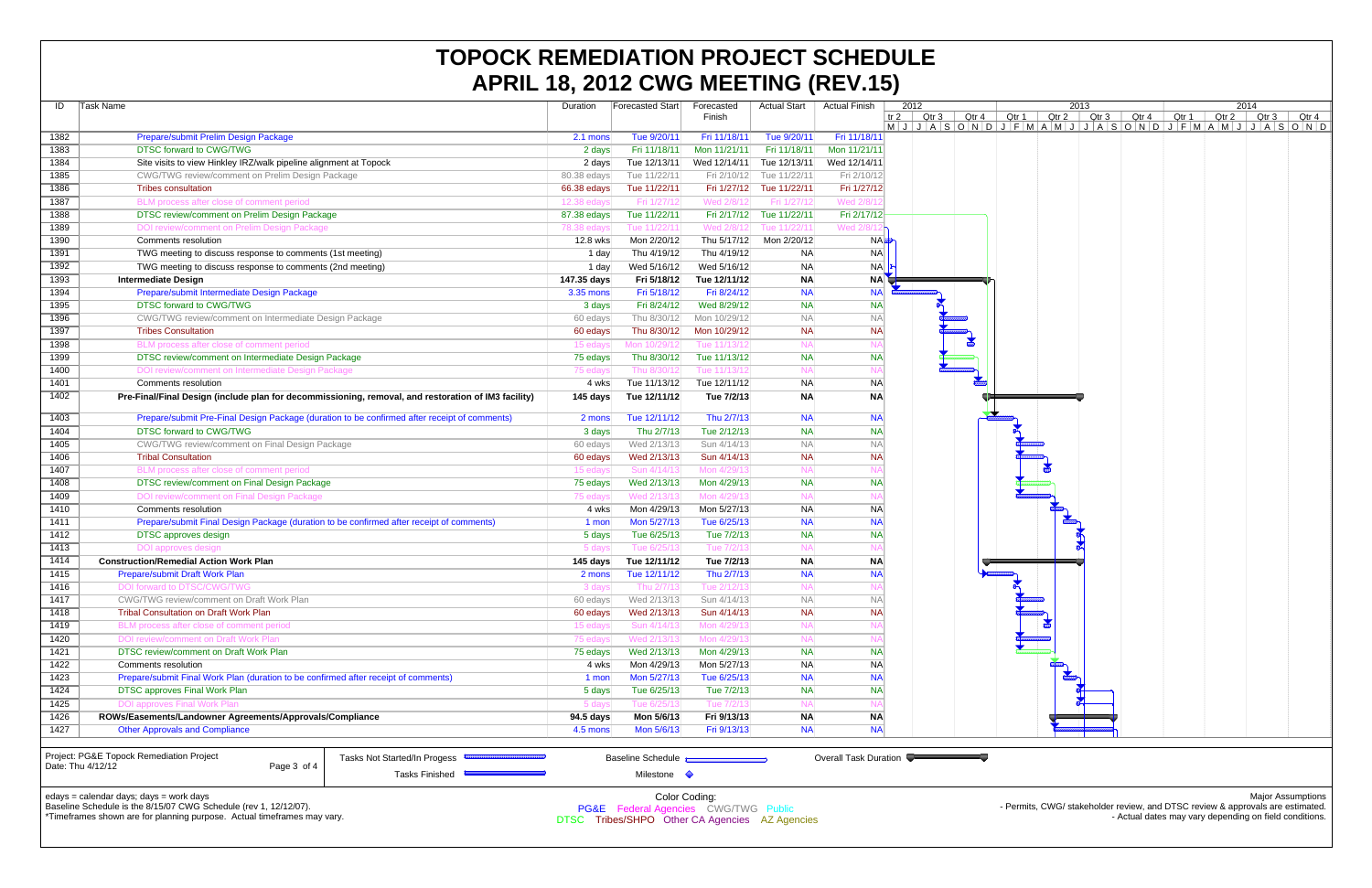|                                                                                                              |                                                                                                     | APRIL 18, 2012 GWG MEETING (REV.13) |                           |                                      |                            |                        |                        |              |                   |       |                   |             |       |                                                                                |      |                   |  |
|--------------------------------------------------------------------------------------------------------------|-----------------------------------------------------------------------------------------------------|-------------------------------------|---------------------------|--------------------------------------|----------------------------|------------------------|------------------------|--------------|-------------------|-------|-------------------|-------------|-------|--------------------------------------------------------------------------------|------|-------------------|--|
| ID                                                                                                           | Task Name                                                                                           |                                     | Duration                  | <b>Forecasted Start</b>              | Forecasted                 | <b>Actual Start</b>    | Actual Finish          |              | 2012              |       |                   | 2013        |       |                                                                                | 2014 |                   |  |
|                                                                                                              |                                                                                                     |                                     |                           |                                      | Finish                     |                        |                        | tr 2 $\vert$ | Qtr 3 $\parallel$ | Qtr 4 | Qtr 1 $\parallel$ | Qtr 2 Qtr 3 | Qtr 4 | Qtr 1 Qtr 2 Qtr 3                                                              |      | Qtr 4             |  |
| 1382                                                                                                         | Prepare/submit Prelim Design Package                                                                |                                     | 2.1 mons                  | Tue 9/20/11                          | Fri 11/18/11               | Tue 9/20/11            | Fri 11/18/11           |              |                   |       |                   |             |       | $M J J A S O N O I J F M A M J J J A S O N D J F M A M J J J A S O N D$        |      |                   |  |
| 1383                                                                                                         | <b>DTSC forward to CWG/TWG</b>                                                                      |                                     | 2 days                    | Fri 11/18/11                         | Mon 11/21/11               | Fri 11/18/11           | Mon 11/21/11           |              |                   |       |                   |             |       |                                                                                |      |                   |  |
| 1384                                                                                                         | Site visits to view Hinkley IRZ/walk pipeline alignment at Topock                                   |                                     | 2 days                    | Tue 12/13/11                         | Wed 12/14/11               | Tue 12/13/11           | Wed 12/14/11           |              |                   |       |                   |             |       |                                                                                |      |                   |  |
| 1385                                                                                                         | CWG/TWG review/comment on Prelim Design Package                                                     |                                     | 80.38 edays               | Tue 11/22/11                         | Fri 2/10/12                | Tue 11/22/11           | Fri 2/10/12            |              |                   |       |                   |             |       |                                                                                |      |                   |  |
| 1386                                                                                                         | <b>Tribes consultation</b>                                                                          |                                     |                           | Tue 11/22/11                         | Fri 1/27/12                | Tue 11/22/11           | Fri 1/27/12            |              |                   |       |                   |             |       |                                                                                |      |                   |  |
| 1387                                                                                                         | BLM process after close of comment period                                                           |                                     | 66.38 edays<br>12.38 eday | Fri 1/27/1:                          | Wed 2/8/12                 | Fri 1/27/12            | Wed 2/8/1              |              |                   |       |                   |             |       |                                                                                |      |                   |  |
| 1388                                                                                                         | DTSC review/comment on Prelim Design Package                                                        |                                     | 87.38 edays               | Tue 11/22/11                         | Fri 2/17/12                | Tue 11/22/11           | Fri 2/17/12            |              |                   |       |                   |             |       |                                                                                |      |                   |  |
| 1389                                                                                                         | DOI review/comment on Prelim Design Package                                                         |                                     | 78.38 edays               | Tue 11/22/1                          | Wed 2/8/12                 | Tue 11/22/11           | Wed 2/8                |              |                   |       |                   |             |       |                                                                                |      |                   |  |
| 1390                                                                                                         | Comments resolution                                                                                 |                                     | 12.8 wks                  | Mon 2/20/12                          | Thu 5/17/12                | Mon 2/20/12            |                        | <b>NA</b>    |                   |       |                   |             |       |                                                                                |      |                   |  |
| 1391                                                                                                         | TWG meeting to discuss response to comments (1st meeting)                                           |                                     | 1 day                     | Thu 4/19/12                          | Thu 4/19/12                | <b>NA</b>              | NA                     |              |                   |       |                   |             |       |                                                                                |      |                   |  |
| 1392                                                                                                         | TWG meeting to discuss response to comments (2nd meeting)                                           |                                     | 1 day                     | Wed 5/16/12                          | Wed 5/16/12                | <b>NA</b>              |                        | NA           |                   |       |                   |             |       |                                                                                |      |                   |  |
| 1393                                                                                                         | <b>Intermediate Design</b>                                                                          |                                     | 147.35 days               | Fri 5/18/12                          | Tue 12/11/12               | <b>NA</b>              | NA                     |              |                   |       |                   |             |       |                                                                                |      |                   |  |
| 1394                                                                                                         | Prepare/submit Intermediate Design Package                                                          |                                     | 3.35 mons                 | Fri 5/18/12                          | Fri 8/24/12                | <b>NA</b>              | <b>NA</b>              |              |                   |       |                   |             |       |                                                                                |      |                   |  |
| 1395                                                                                                         | <b>DTSC forward to CWG/TWG</b>                                                                      |                                     | 3 days                    | Fri 8/24/12                          | Wed 8/29/12                | <b>NA</b>              | <b>NA</b>              |              |                   |       |                   |             |       |                                                                                |      |                   |  |
| 1396                                                                                                         | CWG/TWG review/comment on Intermediate Design Package                                               |                                     | 60 edays                  | Thu 8/30/12                          | Mon 10/29/12               | <b>NA</b>              | <b>NA</b>              |              |                   |       |                   |             |       |                                                                                |      |                   |  |
| 1397                                                                                                         | <b>Tribes Consultation</b>                                                                          |                                     | 60 edays                  | Thu 8/30/12                          | Mon 10/29/12               | <b>NA</b>              | <b>NA</b>              |              |                   |       |                   |             |       |                                                                                |      |                   |  |
| 1398                                                                                                         | BLM process after close of comment period                                                           |                                     | 15 eday                   | Mon 10/29/1                          | Tue 11/13/1                | <b>NA</b>              | <b>NA</b>              |              |                   |       |                   |             |       |                                                                                |      |                   |  |
| 1399                                                                                                         | DTSC review/comment on Intermediate Design Package                                                  |                                     | 75 edays                  | Thu 8/30/12                          | Tue 11/13/12               | <b>NA</b>              | <b>NA</b>              |              |                   |       |                   |             |       |                                                                                |      |                   |  |
| 1400                                                                                                         | DOI review/comment on Intermediate Design Package                                                   |                                     | 75 eday                   | Thu 8/30/12                          | Tue 11/13/1                | <b>NA</b>              | <b>NA</b>              |              |                   |       |                   |             |       |                                                                                |      |                   |  |
| 1401                                                                                                         | Comments resolution                                                                                 |                                     | 4 wks                     | Tue 11/13/12                         | Tue 12/11/12               | <b>NA</b>              | <b>NA</b>              |              |                   |       |                   |             |       |                                                                                |      |                   |  |
| 1402                                                                                                         | Pre-Final/Final Design (include plan for decommissioning, removal, and restoration of IM3 facility) |                                     | 145 days                  | Tue 12/11/12                         | Tue 7/2/13                 | <b>NA</b>              | <b>NA</b>              |              |                   |       |                   |             |       |                                                                                |      |                   |  |
|                                                                                                              |                                                                                                     |                                     |                           |                                      |                            |                        |                        |              |                   |       |                   |             |       |                                                                                |      |                   |  |
| 1403                                                                                                         | Prepare/submit Pre-Final Design Package (duration to be confirmed after receipt of comments)        |                                     | 2 mons                    | Tue 12/11/12                         | Thu 2/7/13                 | <b>NA</b>              | <b>NA</b>              |              |                   |       |                   |             |       |                                                                                |      |                   |  |
| 1404                                                                                                         | DTSC forward to CWG/TWG                                                                             |                                     | 3 days                    | Thu 2/7/13                           | Tue 2/12/13                | <b>NA</b>              | <b>NA</b>              |              |                   |       |                   |             |       |                                                                                |      |                   |  |
| 1405                                                                                                         | CWG/TWG review/comment on Final Design Package                                                      |                                     | 60 edays                  | Wed 2/13/13                          | Sun 4/14/13                | <b>NA</b>              | <b>NA</b>              |              |                   |       |                   |             |       |                                                                                |      |                   |  |
| 1406                                                                                                         | <b>Tribal Consultation</b>                                                                          |                                     | 60 edays                  | Wed 2/13/13                          | Sun 4/14/13                | <b>NA</b>              | <b>NA</b>              |              |                   |       |                   |             |       |                                                                                |      |                   |  |
| 1407                                                                                                         | BLM process after close of comment period                                                           |                                     | 15 edays                  | Sun 4/14/1                           | Mon 4/29/1                 | <b>NA</b>              | <b>NA</b>              |              |                   |       |                   |             |       |                                                                                |      |                   |  |
| 1408                                                                                                         | DTSC review/comment on Final Design Package                                                         |                                     | 75 edays                  | Wed 2/13/13                          | Mon 4/29/13                | <b>NA</b>              | <b>NA</b>              |              |                   |       |                   |             |       |                                                                                |      |                   |  |
| 1409                                                                                                         | DOI review/comment on Final Design Package                                                          |                                     | 75 eday                   | Wed 2/13/1                           | Mon 4/29/1                 | <b>NA</b>              | N,                     |              |                   |       |                   |             |       |                                                                                |      |                   |  |
| 1410                                                                                                         | Comments resolution                                                                                 |                                     | 4 wks                     | Mon 4/29/13                          | Mon 5/27/13                | <b>NA</b>              | <b>NA</b>              |              |                   |       |                   |             |       |                                                                                |      |                   |  |
| 1411                                                                                                         | Prepare/submit Final Design Package (duration to be confirmed after receipt of comments)            |                                     | 1 mon                     | Mon 5/27/13                          | Tue 6/25/13                | <b>NA</b>              | <b>NA</b>              |              |                   |       |                   |             |       |                                                                                |      |                   |  |
| 1412                                                                                                         | <b>DTSC</b> approves design                                                                         |                                     | 5 days                    | Tue 6/25/13                          | Tue 7/2/13                 | <b>NA</b>              | <b>NA</b>              |              |                   |       |                   |             |       |                                                                                |      |                   |  |
| 1413                                                                                                         | DOI approves design                                                                                 |                                     | 5 days                    | Tue 6/25/13                          | Tue 7/2/13                 | NA                     | <b>NA</b>              |              |                   |       |                   |             |       |                                                                                |      |                   |  |
| 1414                                                                                                         | <b>Construction/Remedial Action Work Plan</b>                                                       |                                     | 145 days                  | Tue 12/11/12                         | Tue 7/2/13                 | <b>NA</b>              | <b>NA</b>              |              |                   |       |                   |             |       |                                                                                |      |                   |  |
| 1415                                                                                                         | Prepare/submit Draft Work Plan                                                                      |                                     | 2 mons                    | Tue 12/11/12                         | Thu 2/7/13                 | <b>NA</b>              | <b>NA</b>              |              |                   |       |                   |             |       |                                                                                |      |                   |  |
| 1416                                                                                                         | DOI forward to DTSC/CWG/TWG                                                                         |                                     | 3 day                     | $\ln u$ 2/7/                         | $1ue$ 2/12/1               | <b>NA</b>              | -IN)                   |              |                   |       |                   |             |       |                                                                                |      |                   |  |
| 1417                                                                                                         | CWG/TWG review/comment on Draft Work Plan                                                           |                                     | 60 edays                  | Wed 2/13/13                          | Sun 4/14/13                | <b>NA</b>              | <b>NA</b>              |              |                   |       |                   |             |       |                                                                                |      |                   |  |
| 1418                                                                                                         | <b>Tribal Consultation on Draft Work Plan</b>                                                       |                                     | 60 edays                  | Wed 2/13/13                          | Sun 4/14/13                | <b>NA</b>              | <b>NA</b>              |              |                   |       |                   |             |       |                                                                                |      |                   |  |
| 1419                                                                                                         | BLM process after close of comment period                                                           |                                     | 15 eday                   | Sun 4/14/1                           | Mon 4/29/1                 | <b>NA</b>              | <b>NA</b>              |              |                   |       |                   |             |       |                                                                                |      |                   |  |
| 1420                                                                                                         | DOI review/comment on Draft Work Plan                                                               |                                     | 75 eday                   | Wed 2/13/1                           | Mon 4/29/1:                | <b>NA</b>              | <b>NA</b>              |              |                   |       |                   |             |       |                                                                                |      |                   |  |
| 1421                                                                                                         | DTSC review/comment on Draft Work Plan                                                              |                                     | 75 edays                  | Wed 2/13/13                          | Mon 4/29/13                | <b>NA</b>              | <b>NA</b>              |              |                   |       |                   |             |       |                                                                                |      |                   |  |
| 1422                                                                                                         | Comments resolution                                                                                 |                                     | 4 wks                     | Mon 4/29/13                          | Mon 5/27/13                | <b>NA</b>              | <b>NA</b>              |              |                   |       | <b>CODED</b>      |             |       |                                                                                |      |                   |  |
| 1423                                                                                                         | Prepare/submit Final Work Plan (duration to be confirmed after receipt of comments)                 |                                     | 1 mon                     | Mon 5/27/13                          | Tue 6/25/13                | <b>NA</b>              | <b>NA</b>              |              |                   |       |                   |             |       |                                                                                |      |                   |  |
| 1424                                                                                                         | <b>DTSC approves Final Work Plan</b>                                                                |                                     | 5 days                    | Tue 6/25/13                          | Tue 7/2/13                 | <b>NA</b>              | <b>NA</b><br>$N_A$     |              |                   |       |                   |             |       |                                                                                |      |                   |  |
| 1425                                                                                                         | <b>DOI approves Final Work Plan</b>                                                                 |                                     | 5 days                    | Tue 6/25/1                           | Tue 7/2/1                  | <b>NA</b>              |                        |              |                   |       |                   |             |       |                                                                                |      |                   |  |
| 1426                                                                                                         | ROWs/Easements/Landowner Agreements/Approvals/Compliance                                            |                                     | 94.5 days<br>4.5 mons     | Mon 5/6/13                           | Fri 9/13/13<br>Fri 9/13/13 | <b>NA</b><br><b>NA</b> | <b>NA</b><br><b>NA</b> |              |                   |       |                   |             |       |                                                                                |      |                   |  |
| 1427                                                                                                         | <b>Other Approvals and Compliance</b>                                                               |                                     |                           | Mon 5/6/13                           |                            |                        |                        |              |                   |       |                   |             |       |                                                                                |      |                   |  |
|                                                                                                              |                                                                                                     |                                     |                           |                                      |                            |                        |                        |              |                   |       |                   |             |       |                                                                                |      |                   |  |
| Project: PG&E Topock Remediation Project<br>Tasks Not Started/In Progess<br>Date: Thu 4/12/12<br>Page 3 of 4 |                                                                                                     |                                     |                           | <b>Baseline Schedule</b>             |                            |                        | Overall Task Duration  |              |                   |       |                   |             |       |                                                                                |      |                   |  |
|                                                                                                              |                                                                                                     | Tasks Finished ■                    |                           | Milestone $\Diamond$                 |                            |                        |                        |              |                   |       |                   |             |       |                                                                                |      |                   |  |
|                                                                                                              | edays = calendar days; days = work days                                                             |                                     |                           |                                      |                            |                        |                        |              |                   |       |                   |             |       |                                                                                |      | Major Assumptions |  |
|                                                                                                              | Baseline Schedule is the 8/15/07 CWG Schedule (rev 1, 12/12/07).                                    |                                     |                           | PG&E Federal Agencies CWG/TWG Public | Color Coding:              |                        |                        |              |                   |       |                   |             |       | - Permits, CWG/ stakeholder review, and DTSC review & approvals are estimated. |      |                   |  |
|                                                                                                              | *Timeframes shown are for planning purpose Actual timeframes may vary                               |                                     |                           |                                      |                            |                        |                        |              |                   |       |                   |             |       | - Actual dates may vary depending on field conditions                          |      |                   |  |

Timeframes shown are for planning purpose. Actual timeframes may vary.

## **TOPOCK REMEDIATION PROJECT SCHEDULE APRIL 18, 2012 CWG MEETING (REV.15)**

- Actual dates may vary depending on field conditions.